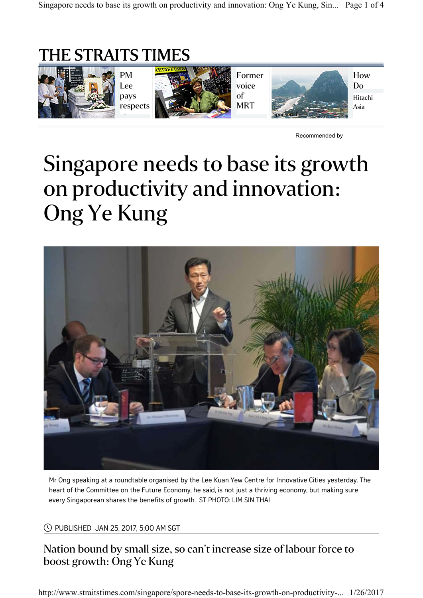# THE STRAITS TIMES



Recommended by

# Singapore needs to base its growth on productivity and innovation: Ong Ye Kung



Mr Ong speaking at a roundtable organised by the Lee Kuan Yew Centre for Innovative Cities yesterday. The heart of the Committee on the Future Economy, he said, is not just a thriving economy, but making sure every Singaporean shares the benefits of growth. ST PHOTO: LIM SIN THAI

PUBLISHED JAN 25, 2017, 5:00 AM SGT [

## Nation bound by small size, so can't increase size of labour force to boost growth: Ong Ye Kung

http://www.straitstimes.com/singapore/spore-needs-to-base-its-growth-on-productivity-... 1/26/2017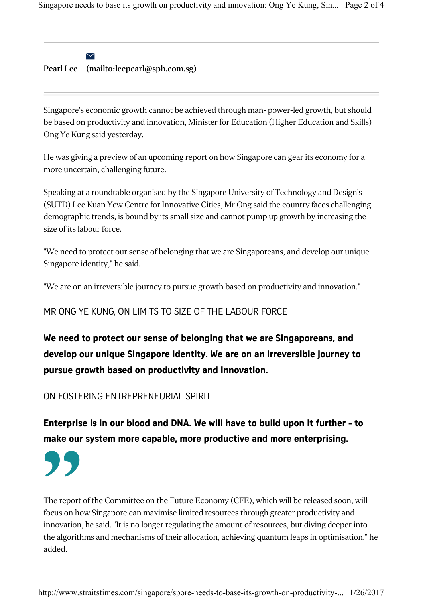$\blacktriangleright$ 

#### Pearl Lee (mailto:leepearl@sph.com.sg)

Singapore's economic growth cannot be achieved through man- power-led growth, but should be based on productivity and innovation, Minister for Education (Higher Education and Skills) Ong Ye Kung said yesterday.

He was giving a preview of an upcoming report on how Singapore can gear its economy for a more uncertain, challenging future.

Speaking at a roundtable organised by the Singapore University of Technology and Design's (SUTD) Lee Kuan Yew Centre for Innovative Cities, Mr Ong said the country faces challenging demographic trends, is bound by its small size and cannot pump up growth by increasing the size of its labour force.

"We need to protect our sense of belonging that we are Singaporeans, and develop our unique Singapore identity," he said.

"We are on an irreversible journey to pursue growth based on productivity and innovation."

### MR ONG YE KUNG, ON LIMITS TO SIZE OF THE LABOUR FORCE

We need to protect our sense of belonging that we are Singaporeans, and develop our unique Singapore identity. We are on an irreversible journey to pursue growth based on productivity and innovation.

ON FOSTERING ENTREPRENEURIAL SPIRIT

Enterprise is in our blood and DNA. We will have to build upon it further - to make our system more capable, more productive and more enterprising.

"

The report of the Committee on the Future Economy (CFE), which will be released soon, will focus on how Singapore can maximise limited resources through greater productivity and innovation, he said. "It is no longer regulating the amount of resources, but diving deeper into the algorithms and mechanisms of their allocation, achieving quantum leaps in optimisation," he added.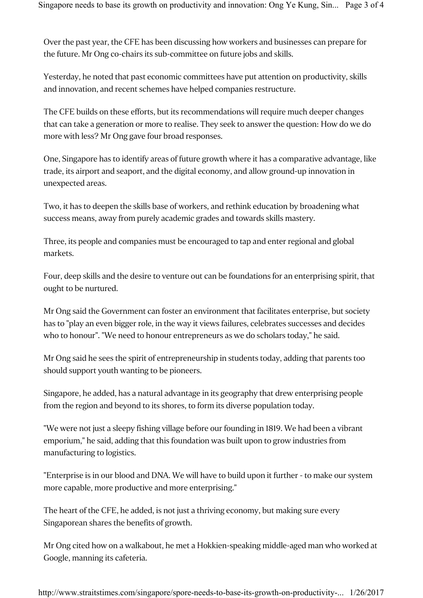Over the past year, the CFE has been discussing how workers and businesses can prepare for the future. Mr Ong co-chairs its sub-committee on future jobs and skills.

Yesterday, he noted that past economic committees have put attention on productivity, skills and innovation, and recent schemes have helped companies restructure.

The CFE builds on these efforts, but its recommendations will require much deeper changes that can take a generation or more to realise. They seek to answer the question: How do we do more with less? Mr Ong gave four broad responses.

One, Singapore has to identify areas of future growth where it has a comparative advantage, like trade, its airport and seaport, and the digital economy, and allow ground-up innovation in unexpected areas.

Two, it has to deepen the skills base of workers, and rethink education by broadening what success means, away from purely academic grades and towards skills mastery.

Three, its people and companies must be encouraged to tap and enter regional and global markets.

Four, deep skills and the desire to venture out can be foundations for an enterprising spirit, that ought to be nurtured.

Mr Ong said the Government can foster an environment that facilitates enterprise, but society has to "play an even bigger role, in the way it views failures, celebrates successes and decides who to honour". "We need to honour entrepreneurs as we do scholars today," he said.

Mr Ong said he sees the spirit of entrepreneurship in students today, adding that parents too should support youth wanting to be pioneers.

Singapore, he added, has a natural advantage in its geography that drew enterprising people from the region and beyond to its shores, to form its diverse population today.

"We were not just a sleepy fishing village before our founding in 1819. We had been a vibrant emporium," he said, adding that this foundation was built upon to grow industries from manufacturing to logistics.

"Enterprise is in our blood and DNA. We will have to build upon it further - to make our system more capable, more productive and more enterprising."

The heart of the CFE, he added, is not just a thriving economy, but making sure every Singaporean shares the benefits of growth.

Mr Ong cited how on a walkabout, he met a Hokkien-speaking middle-aged man who worked at Google, manning its cafeteria.